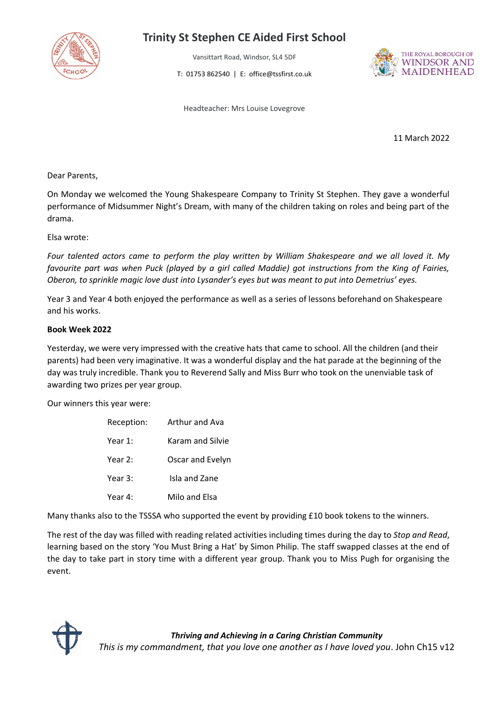

## **Trinity St Stephen CE Aided First School**

Vansittart Road, Windsor, SL4 5DF

T: 01753 862540 | E: office@tssfirst.co.uk



Headteacher: Mrs Louise Lovegrove

11 March 2022

Dear Parents,

On Monday we welcomed the Young Shakespeare Company to Trinity St Stephen. They gave a wonderful performance of Midsummer Night's Dream, with many of the children taking on roles and being part of the drama.

Elsa wrote:

*Four talented actors came to perform the play written by William Shakespeare and we all loved it. My favourite part was when Puck (played by a girl called Maddie) got instructions from the King of Fairies, Oberon, to sprinkle magic love dust into Lysander's eyes but was meant to put into Demetrius' eyes.*

Year 3 and Year 4 both enjoyed the performance as well as a series of lessons beforehand on Shakespeare and his works.

#### **Book Week 2022**

Yesterday, we were very impressed with the creative hats that came to school. All the children (and their parents) had been very imaginative. It was a wonderful display and the hat parade at the beginning of the day was truly incredible. Thank you to Reverend Sally and Miss Burr who took on the unenviable task of awarding two prizes per year group.

Our winners this year were:

| Reception: | <b>Arthur and Ava</b> |
|------------|-----------------------|
| Year 1:    | Karam and Silvie      |
| Year 2:    | Oscar and Evelyn      |
| Year 3:    | Isla and Zane         |
| Year 4:    | Milo and Elsa         |

Many thanks also to the TSSSA who supported the event by providing £10 book tokens to the winners.

The rest of the day was filled with reading related activities including times during the day to *Stop and Read*, learning based on the story 'You Must Bring a Hat' by Simon Philip. The staff swapped classes at the end of the day to take part in story time with a different year group. Thank you to Miss Pugh for organising the event.

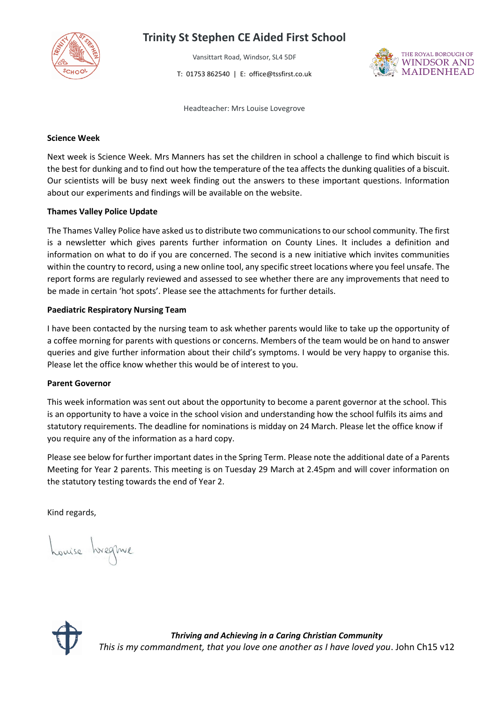

### **Trinity St Stephen CE Aided First School**

Vansittart Road, Windsor, SL4 5DF T: 01753 862540 | E: office@tssfirst.co.uk



Headteacher: Mrs Louise Lovegrove

#### **Science Week**

Next week is Science Week. Mrs Manners has set the children in school a challenge to find which biscuit is the best for dunking and to find out how the temperature of the tea affects the dunking qualities of a biscuit. Our scientists will be busy next week finding out the answers to these important questions. Information about our experiments and findings will be available on the website.

#### **Thames Valley Police Update**

The Thames Valley Police have asked us to distribute two communications to our school community. The first is a newsletter which gives parents further information on County Lines. It includes a definition and information on what to do if you are concerned. The second is a new initiative which invites communities within the country to record, using a new online tool, any specific street locations where you feel unsafe. The report forms are regularly reviewed and assessed to see whether there are any improvements that need to be made in certain 'hot spots'. Please see the attachments for further details.

#### **Paediatric Respiratory Nursing Team**

I have been contacted by the nursing team to ask whether parents would like to take up the opportunity of a coffee morning for parents with questions or concerns. Members of the team would be on hand to answer queries and give further information about their child's symptoms. I would be very happy to organise this. Please let the office know whether this would be of interest to you.

#### **Parent Governor**

This week information was sent out about the opportunity to become a parent governor at the school. This is an opportunity to have a voice in the school vision and understanding how the school fulfils its aims and statutory requirements. The deadline for nominations is midday on 24 March. Please let the office know if you require any of the information as a hard copy.

Please see below for further important dates in the Spring Term. Please note the additional date of a Parents Meeting for Year 2 parents. This meeting is on Tuesday 29 March at 2.45pm and will cover information on the statutory testing towards the end of Year 2.

Kind regards,

Louise hregme